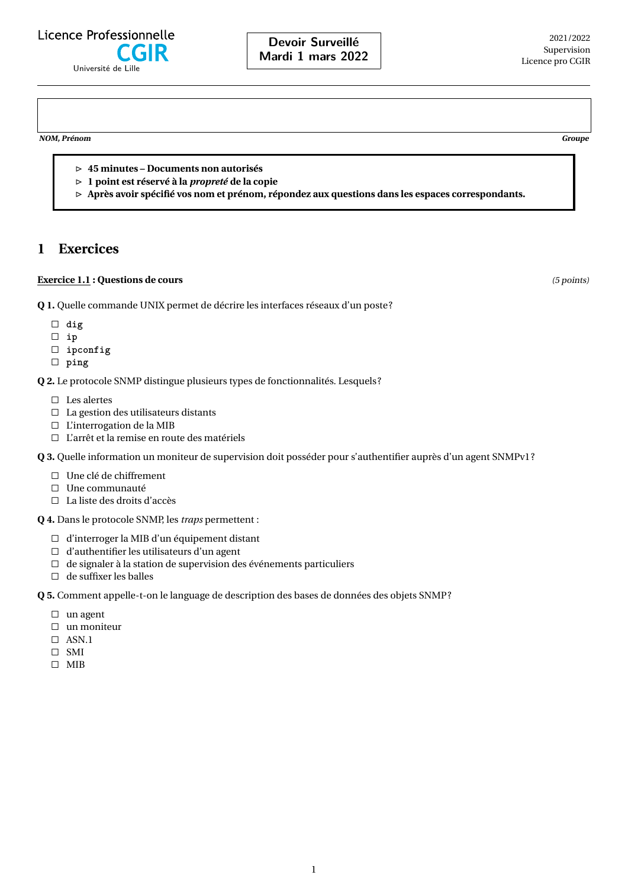**Devoir Surveillé Mardi 1 mars 2022**

**NOM, Prénom Groupe**

- . **45 minutes Documents non autorisés**
- . **1 point est réservé à la** *propreté* **de la copie**
- . **Après avoir spécifié vos nom et prénom, répondez aux questions dans les espaces correspondants.**

# **1 Exercices**

#### **Exercice 1.1 : Questions de cours** (5 points)

**Q 1.** Quelle commande UNIX permet de décrire les interfaces réseaux d'un poste ?

- ä **dig**
- ä **ip**
- ä **ipconfig**
- ä **ping**

**Q 2.** Le protocole SNMP distingue plusieurs types de fonctionnalités. Lesquels ?

- $\square$  Les alertes
- $\Box$  La gestion des utilisateurs distants
- $\Box$  L'interrogation de la MIB
- ä L'arrêt et la remise en route des matériels

**Q 3.** Quelle information un moniteur de supervision doit posséder pour s'authentifier auprès d'un agent SNMPv1 ?

- $\square$  Une clé de chiffrement
- $\square$  Une communauté
- $\Box$  La liste des droits d'accès
- **Q 4.** Dans le protocole SNMP, les *traps* permettent :
	- ä d'interroger la MIB d'un équipement distant
	- $\Box$  d'authentifier les utilisateurs d'un agent
	- $\Box$  de signaler à la station de supervision des événements particuliers
	- $\Box$  de suffixer les balles

**Q 5.** Comment appelle-t-on le language de description des bases de données des objets SNMP ?

- $\square$  un agent
- $\square$  un moniteur
- $\Box$  ASN.1
- $\square$  SMI
- $\square$  MIB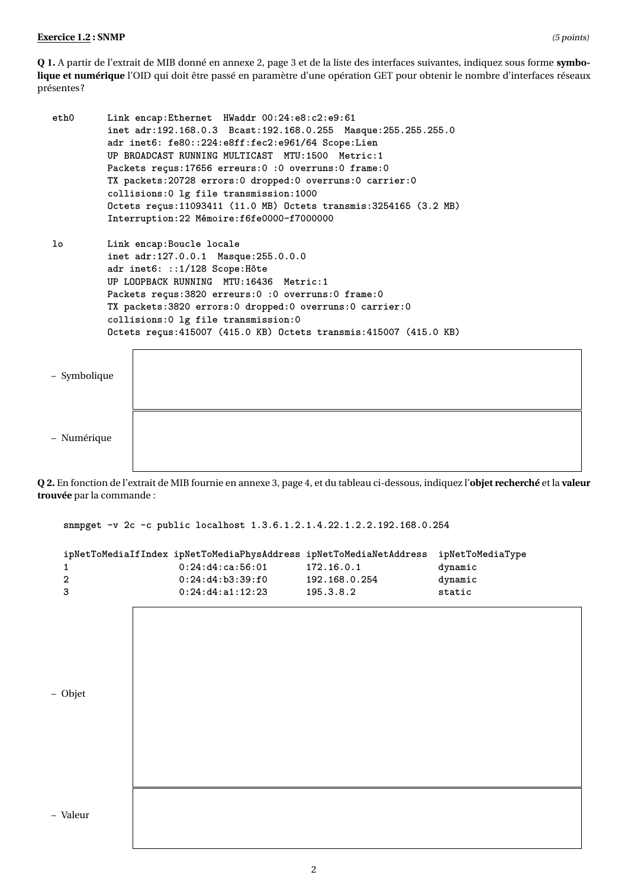#### **Exercice 1.2 : SNMP** (5 points)

| eth0         | Link encap: Ethernet HWaddr 00:24:e8:c2:e9:61<br>inet adr:192.168.0.3 Bcast:192.168.0.255 Masque:255.255.255.0<br>adr inet6: fe80::224:e8ff:fec2:e961/64 Scope:Lien<br>UP BROADCAST RUNNING MULTICAST MTU:1500 Metric:1<br>Packets reçus: 17656 erreurs: 0 : 0 overruns: 0 frame: 0<br>TX packets: 20728 errors: 0 dropped: 0 overruns: 0 carrier: 0<br>collisions: 0 lg file transmission: 1000<br>Octets reçus: 11093411 (11.0 MB) Octets transmis: 3254165 (3.2 MB)<br>Interruption: 22 Mémoire: f6fe0000-f7000000 |  |  |  |
|--------------|-----------------------------------------------------------------------------------------------------------------------------------------------------------------------------------------------------------------------------------------------------------------------------------------------------------------------------------------------------------------------------------------------------------------------------------------------------------------------------------------------------------------------|--|--|--|
| lo           | Link encap: Boucle locale<br>inet adr:127.0.0.1 Masque:255.0.0.0<br>adr inet6: :: 1/128 Scope: Hôte<br>UP LOOPBACK RUNNING MTU:16436 Metric:1<br>Packets reçus: 3820 erreurs: 0 : 0 overruns: 0 frame: 0<br>TX packets: 3820 errors: 0 dropped: 0 overruns: 0 carrier: 0<br>collisions: 0 lg file transmission: 0<br>Octets reçus: 415007 (415.0 KB) Octets transmis: 415007 (415.0 KB)                                                                                                                               |  |  |  |
| - Symbolique |                                                                                                                                                                                                                                                                                                                                                                                                                                                                                                                       |  |  |  |
| - Numérique  |                                                                                                                                                                                                                                                                                                                                                                                                                                                                                                                       |  |  |  |

**Q 2.** En fonction de l'extrait de MIB fournie en annexe [3,](#page-3-0) page [4,](#page-3-0) et du tableau ci-dessous, indiquez l'**objet recherché** et la **valeur trouvée** par la commande :

```
snmpget -v 2c -c public localhost 1.3.6.1.2.1.4.22.1.2.2.192.168.0.254
```

| 1<br>$\overline{2}$<br>3 | ipNetToMediaIfIndex ipNetToMediaPhysAddress ipNetToMediaNetAddress<br>0:24: d4: ca: 56:01<br>0:24: d4:b3:39:f0<br>0:24: d4: a1:12:23 | 172.16.0.1<br>192.168.0.254<br>195.3.8.2 | ipNetToMediaType<br>dynamic<br>dynamic<br>static |
|--------------------------|--------------------------------------------------------------------------------------------------------------------------------------|------------------------------------------|--------------------------------------------------|
| - Objet                  |                                                                                                                                      |                                          |                                                  |
|                          |                                                                                                                                      |                                          |                                                  |
| - Valeur                 |                                                                                                                                      |                                          |                                                  |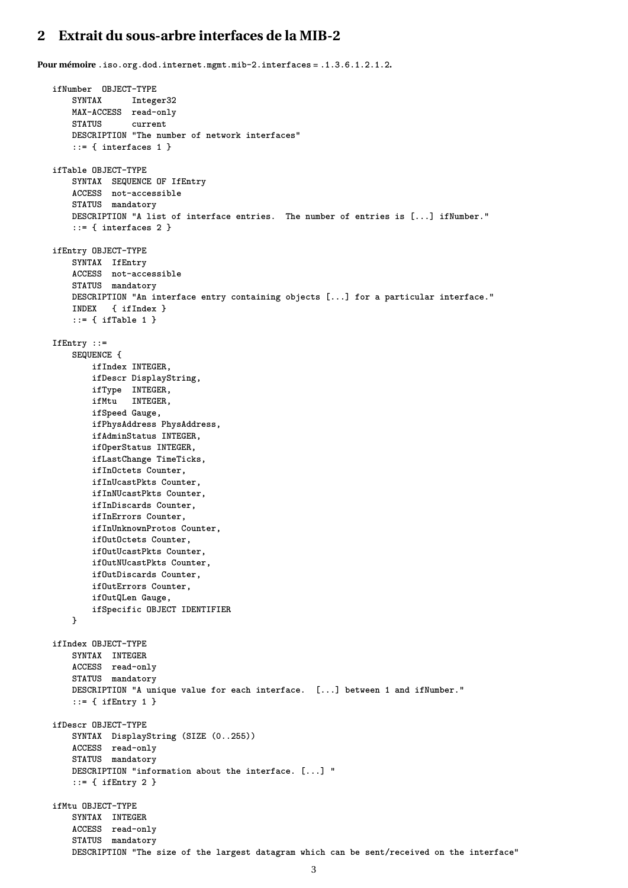### <span id="page-2-0"></span>**2 Extrait du sous-arbre interfaces de la MIB-2**

**Pour mémoire .iso.org.dod.internet.mgmt.mib-2.interfaces = .1.3.6.1.2.1.2.**

```
ifNumber OBJECT-TYPE
   SYNTAX Integer32
   MAX-ACCESS read-only
   STATUS current
   DESCRIPTION "The number of network interfaces"
   ::= { interfaces 1 }
ifTable OBJECT-TYPE
   SYNTAX SEQUENCE OF IfEntry
   ACCESS not-accessible
   STATUS mandatory
   DESCRIPTION "A list of interface entries. The number of entries is [...] ifNumber."
   ::= { interfaces 2 }
ifEntry OBJECT-TYPE
   SYNTAX IfEntry
   ACCESS not-accessible
   STATUS mandatory
   DESCRIPTION "An interface entry containing objects [...] for a particular interface."
   INDEX { ifIndex }
   ::= { ifTable 1 }
IfEntry ::=
   SEQUENCE {
       ifIndex INTEGER,
       ifDescr DisplayString,
       ifType INTEGER,
       ifMtu INTEGER,
       ifSpeed Gauge,
       ifPhysAddress PhysAddress,
       ifAdminStatus INTEGER,
       ifOperStatus INTEGER,
       ifLastChange TimeTicks,
       ifInOctets Counter,
       ifInUcastPkts Counter,
       ifInNUcastPkts Counter,
       ifInDiscards Counter,
       ifInErrors Counter,
       ifInUnknownProtos Counter,
       ifOutOctets Counter,
       ifOutUcastPkts Counter,
       ifOutNUcastPkts Counter,
       ifOutDiscards Counter,
       ifOutErrors Counter,
       ifOutQLen Gauge,
       ifSpecific OBJECT IDENTIFIER
   }
ifIndex OBJECT-TYPE
   SYNTAX INTEGER
   ACCESS read-only
   STATUS mandatory
   DESCRIPTION "A unique value for each interface. [...] between 1 and ifNumber."
   ::= { ifEntry 1 }
ifDescr OBJECT-TYPE
   SYNTAX DisplayString (SIZE (0..255))
   ACCESS read-only
   STATUS mandatory
   DESCRIPTION "information about the interface. [...] "
   ::= { ifEntry 2 }
ifMtu OBJECT-TYPE
   SYNTAX INTEGER
   ACCESS read-only
   STATUS mandatory
   DESCRIPTION "The size of the largest datagram which can be sent/received on the interface"
```